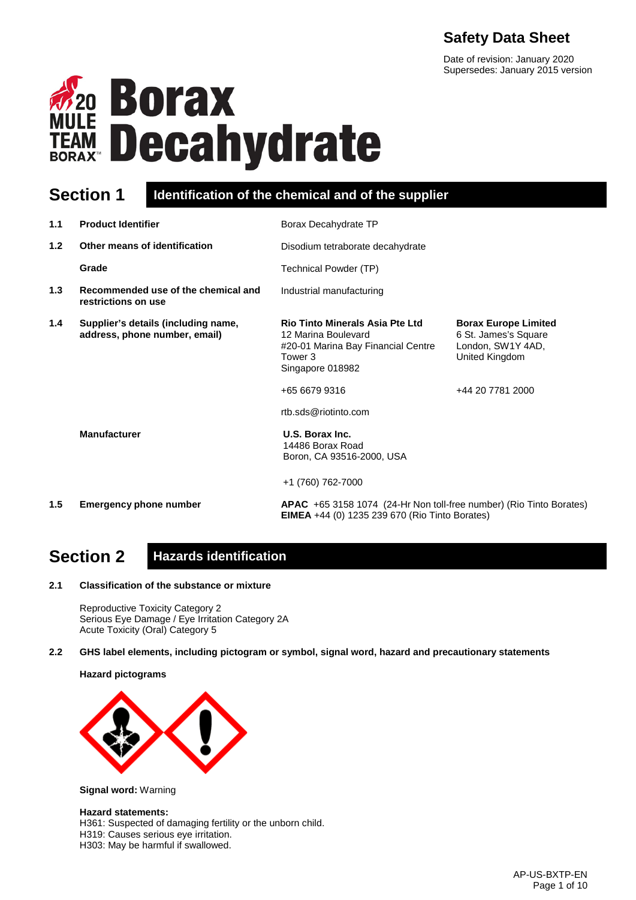## **Safety Data Sheet**

Date of revision: January 2020 Supersedes: January 2015 version



## **Section 1 Identification of the chemical and of the supplier**

| 1.1 | <b>Product Identifier</b>                                            | Borax Decahydrate TP                                                                                                                                |                                                                                                                |
|-----|----------------------------------------------------------------------|-----------------------------------------------------------------------------------------------------------------------------------------------------|----------------------------------------------------------------------------------------------------------------|
| 1.2 | Other means of identification                                        | Disodium tetraborate decahydrate                                                                                                                    |                                                                                                                |
|     | Grade                                                                | Technical Powder (TP)                                                                                                                               |                                                                                                                |
| 1.3 | Recommended use of the chemical and<br>restrictions on use           | Industrial manufacturing                                                                                                                            |                                                                                                                |
| 1.4 | Supplier's details (including name,<br>address, phone number, email) | <b>Rio Tinto Minerals Asia Pte Ltd</b><br>12 Marina Boulevard<br>#20-01 Marina Bay Financial Centre<br>Tower 3<br>Singapore 018982<br>+65 6679 9316 | <b>Borax Europe Limited</b><br>6 St. James's Square<br>London, SW1Y 4AD,<br>United Kingdom<br>+44 20 7781 2000 |
|     |                                                                      | rtb.sds@riotinto.com                                                                                                                                |                                                                                                                |
|     | <b>Manufacturer</b>                                                  | U.S. Borax Inc.<br>14486 Borax Road<br>Boron, CA 93516-2000, USA                                                                                    |                                                                                                                |
|     |                                                                      | +1 (760) 762-7000                                                                                                                                   |                                                                                                                |
| 1.5 | <b>Emergency phone number</b>                                        | APAC +65 3158 1074 (24-Hr Non toll-free number) (Rio Tinto Borates)<br><b>EIMEA</b> +44 (0) 1235 239 670 (Rio Tinto Borates)                        |                                                                                                                |

## **Section 2 Hazards identification**

**2.1 Classification of the substance or mixture**

Reproductive Toxicity Category 2 Serious Eye Damage / Eye Irritation Category 2A Acute Toxicity (Oral) Category 5

**2.2 GHS label elements, including pictogram or symbol, signal word, hazard and precautionary statements** 

**Hazard pictograms**



**Signal word:** Warning

#### **Hazard statements:**

H361: Suspected of damaging fertility or the unborn child.

H319: Causes serious eye irritation.

H303: May be harmful if swallowed.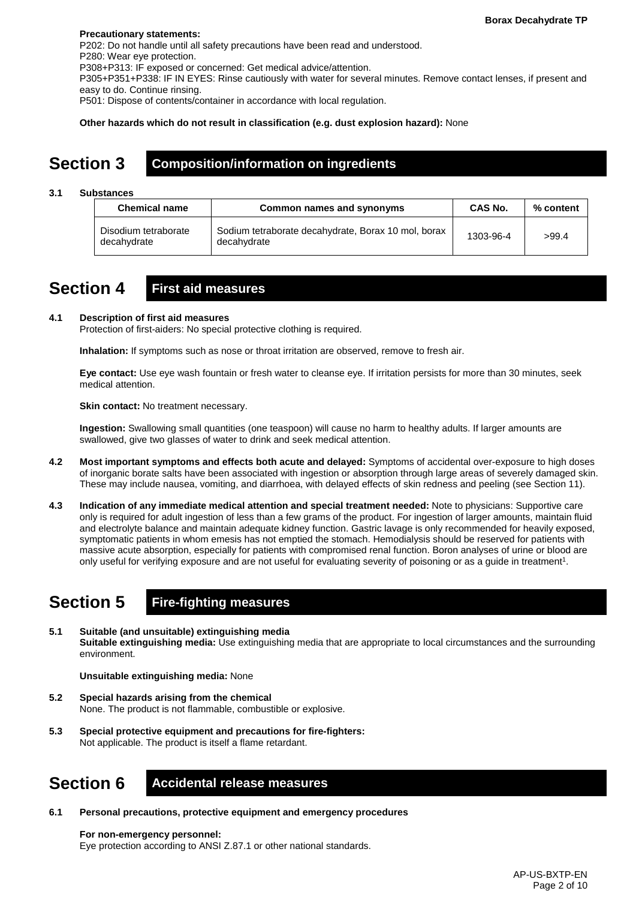#### **Precautionary statements:**

P202: Do not handle until all safety precautions have been read and understood. P280: Wear eye protection. P308+P313: IF exposed or concerned: Get medical advice/attention. P305+P351+P338: IF IN EYES: Rinse cautiously with water for several minutes. Remove contact lenses, if present and easy to do. Continue rinsing. P501: Dispose of contents/container in accordance with local regulation.

**Other hazards which do not result in classification (e.g. dust explosion hazard):** None

## **Section 3 Composition/information on ingredients**

#### **3.1 Substances**

| <b>Chemical name</b>                | Common names and synonyms                                          | <b>CAS No.</b> | % content |
|-------------------------------------|--------------------------------------------------------------------|----------------|-----------|
| Disodium tetraborate<br>decahydrate | Sodium tetraborate decahydrate, Borax 10 mol, borax<br>decahvdrate | 1303-96-4      | >99.4     |

## **Section 4 First aid measures**

#### **4.1 Description of first aid measures**

Protection of first-aiders: No special protective clothing is required.

**Inhalation:** If symptoms such as nose or throat irritation are observed, remove to fresh air.

**Eye contact:** Use eye wash fountain or fresh water to cleanse eye. If irritation persists for more than 30 minutes, seek medical attention.

**Skin contact:** No treatment necessary.

**Ingestion:** Swallowing small quantities (one teaspoon) will cause no harm to healthy adults. If larger amounts are swallowed, give two glasses of water to drink and seek medical attention.

- **4.2 Most important symptoms and effects both acute and delayed:** Symptoms of accidental over-exposure to high doses of inorganic borate salts have been associated with ingestion or absorption through large areas of severely damaged skin. These may include nausea, vomiting, and diarrhoea, with delayed effects of skin redness and peeling (see Section 11).
- **4.3 Indication of any immediate medical attention and special treatment needed:** Note to physicians: Supportive care only is required for adult ingestion of less than a few grams of the product. For ingestion of larger amounts, maintain fluid and electrolyte balance and maintain adequate kidney function. Gastric lavage is only recommended for heavily exposed, symptomatic patients in whom emesis has not emptied the stomach. Hemodialysis should be reserved for patients with massive acute absorption, especially for patients with compromised renal function. Boron analyses of urine or blood are only useful for verifying exposure and are not useful for evaluating severity of poisoning or as a guide in treatment1.

## **Section 5 Fire-fighting measures**

**5.1 Suitable (and unsuitable) extinguishing media Suitable extinguishing media:** Use extinguishing media that are appropriate to local circumstances and the surrounding environment.

**Unsuitable extinguishing media:** None

- **5.2 Special hazards arising from the chemical** None. The product is not flammable, combustible or explosive.
- **5.3 Special protective equipment and precautions for fire-fighters:**  Not applicable. The product is itself a flame retardant.

## **Section 6 Accidental release measures**

**6.1 Personal precautions, protective equipment and emergency procedures**

**For non-emergency personnel:** Eye protection according to ANSI Z.87.1 or other national standards.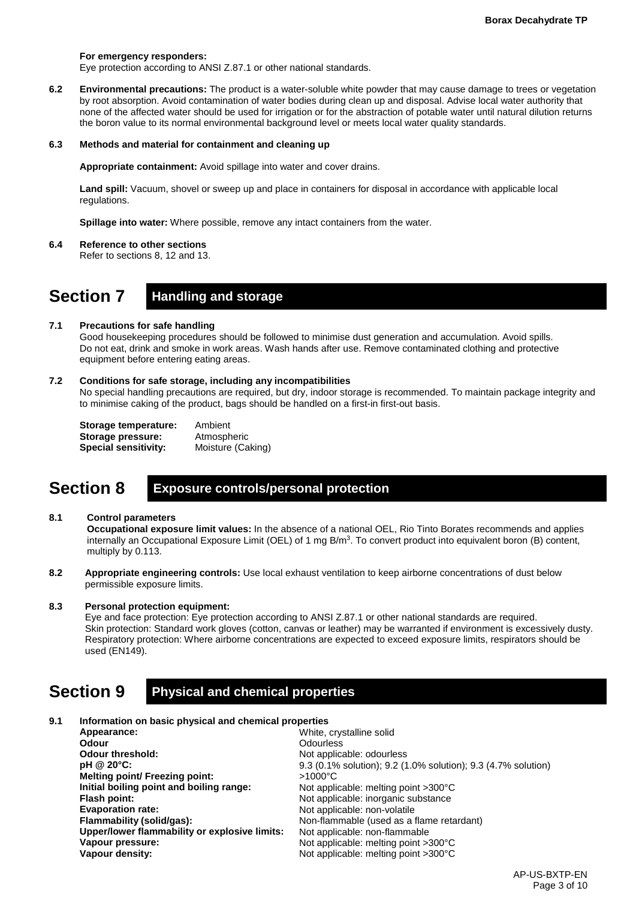#### **For emergency responders:**

Eye protection according to ANSI Z.87.1 or other national standards.

**6.2 Environmental precautions:** The product is a water-soluble white powder that may cause damage to trees or vegetation by root absorption. Avoid contamination of water bodies during clean up and disposal. Advise local water authority that none of the affected water should be used for irrigation or for the abstraction of potable water until natural dilution returns the boron value to its normal environmental background level or meets local water quality standards.

#### **6.3 Methods and material for containment and cleaning up**

**Appropriate containment:** Avoid spillage into water and cover drains.

**Land spill:** Vacuum, shovel or sweep up and place in containers for disposal in accordance with applicable local regulations.

**Spillage into water:** Where possible, remove any intact containers from the water.

**6.4 Reference to other sections**

Refer to sections 8, 12 and 13.

### **Section 7 Handling and storage**

#### **7.1 Precautions for safe handling**

Good housekeeping procedures should be followed to minimise dust generation and accumulation. Avoid spills. Do not eat, drink and smoke in work areas. Wash hands after use. Remove contaminated clothing and protective equipment before entering eating areas.

#### **7.2 Conditions for safe storage, including any incompatibilities**

No special handling precautions are required, but dry, indoor storage is recommended. To maintain package integrity and to minimise caking of the product, bags should be handled on a first-in first-out basis.

| Storage temperature:        | Ambient           |
|-----------------------------|-------------------|
| Storage pressure:           | Atmospheric       |
| <b>Special sensitivity:</b> | Moisture (Caking) |

## **Section 8 Exposure controls/personal protection**

#### **8.1 Control parameters**

**Occupational exposure limit values:** In the absence of a national OEL, Rio Tinto Borates recommends and applies internally an Occupational Exposure Limit (OEL) of 1 mg  $B/m<sup>3</sup>$ . To convert product into equivalent boron (B) content, multiply by 0.113.

**8.2 Appropriate engineering controls:** Use local exhaust ventilation to keep airborne concentrations of dust below permissible exposure limits.

#### **8.3 Personal protection equipment:**

Eye and face protection: Eye protection according to ANSI Z.87.1 or other national standards are required. Skin protection: Standard work gloves (cotton, canvas or leather) may be warranted if environment is excessively dusty. Respiratory protection: Where airborne concentrations are expected to exceed exposure limits, respirators should be used (EN149).

## **Section 9 Physical and chemical properties**

| 9.1 | Information on basic physical and chemical properties |                                                               |
|-----|-------------------------------------------------------|---------------------------------------------------------------|
|     | Appearance:                                           | White, crystalline solid                                      |
|     | <b>Odour</b>                                          | <b>Odourless</b>                                              |
|     | <b>Odour threshold:</b>                               | Not applicable: odourless                                     |
|     | pH @ 20°C:                                            | 9.3 (0.1% solution); 9.2 (1.0% solution); 9.3 (4.7% solution) |
|     | Melting point/ Freezing point:                        | $>1000^{\circ}$ C                                             |
|     | Initial boiling point and boiling range:              | Not applicable: melting point $>300^{\circ}$ C                |
|     | Flash point:                                          | Not applicable: inorganic substance                           |
|     | <b>Evaporation rate:</b>                              | Not applicable: non-volatile                                  |
|     | Flammability (solid/gas):                             | Non-flammable (used as a flame retardant)                     |
|     | Upper/lower flammability or explosive limits:         | Not applicable: non-flammable                                 |
|     | Vapour pressure:                                      | Not applicable: melting point >300°C                          |
|     | Vapour density:                                       | Not applicable: melting point >300°C                          |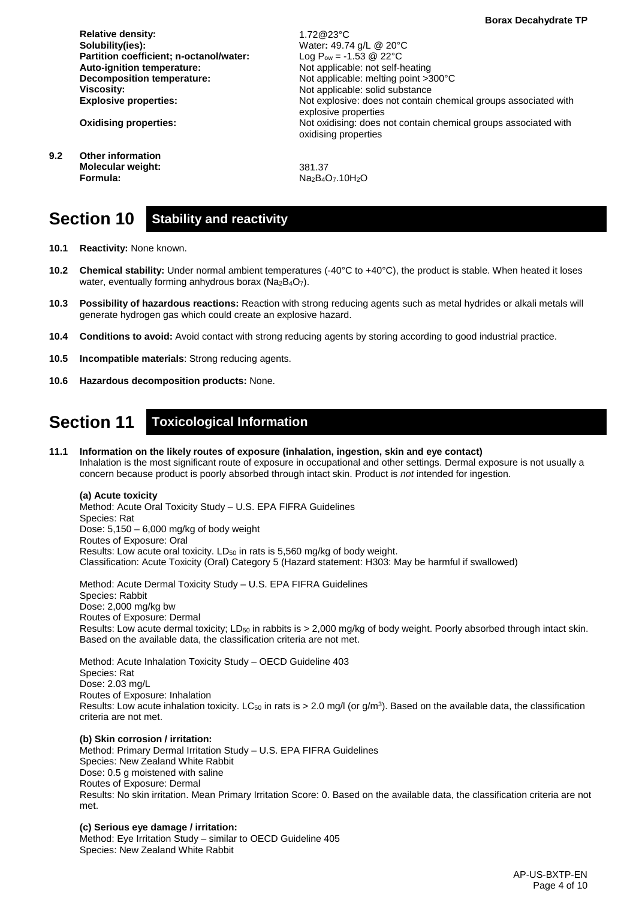**Relative density: Solubility(ies): Partition coefficient; n-octanol/water: Auto-ignition temperature: Decomposition temperature: Viscosity: Explosive properties:**

**Oxidising properties:**

**9.2 Other information Molecular weight: Formula:**

Water**:** 49.74 g/L @ 20°C Log  $P_{ow} = -1.53 \ @ \ 22^{\circ}C$ Not applicable: not self-heating Not applicable: melting point >300°C Not applicable: solid substance Not explosive: does not contain chemical groups associated with explosive properties Not oxidising: does not contain chemical groups associated with oxidising properties

381.37 Na<sub>2</sub>B<sub>4</sub>O<sub>7</sub>.10H<sub>2</sub>O

1.72@23°C

## **Section 10 Stability and reactivity**

- **10.1 Reactivity:** None known.
- **10.2 Chemical stability:** Under normal ambient temperatures (-40°C to +40°C), the product is stable. When heated it loses water, eventually forming anhydrous borax (Na<sub>2</sub>B<sub>4</sub>O<sub>7</sub>).
- **10.3 Possibility of hazardous reactions:** Reaction with strong reducing agents such as metal hydrides or alkali metals will generate hydrogen gas which could create an explosive hazard.
- **10.4 Conditions to avoid:** Avoid contact with strong reducing agents by storing according to good industrial practice.
- **10.5 Incompatible materials**: Strong reducing agents.
- **10.6 Hazardous decomposition products:** None.

## **Section 11 Toxicological Information**

#### **11.1 Information on the likely routes of exposure (inhalation, ingestion, skin and eye contact)** Inhalation is the most significant route of exposure in occupational and other settings. Dermal exposure is not usually a concern because product is poorly absorbed through intact skin. Product is *not* intended for ingestion.

#### **(a) Acute toxicity**

Method: Acute Oral Toxicity Study – U.S. EPA FIFRA Guidelines Species: Rat Dose: 5,150 – 6,000 mg/kg of body weight Routes of Exposure: Oral Results: Low acute oral toxicity.  $LD_{50}$  in rats is 5,560 mg/kg of body weight. Classification: Acute Toxicity (Oral) Category 5 (Hazard statement: H303: May be harmful if swallowed)

Method: Acute Dermal Toxicity Study – U.S. EPA FIFRA Guidelines Species: Rabbit Dose: 2,000 mg/kg bw Routes of Exposure: Dermal Results: Low acute dermal toxicity; LD<sub>50</sub> in rabbits is > 2,000 mg/kg of body weight. Poorly absorbed through intact skin. Based on the available data, the classification criteria are not met.

Method: Acute Inhalation Toxicity Study – OECD Guideline 403 Species: Rat Dose: 2.03 mg/L Routes of Exposure: Inhalation Results: Low acute inhalation toxicity. LC $_{50}$  in rats is > 2.0 mg/l (or g/m<sup>3</sup>). Based on the available data, the classification criteria are not met.

#### **(b) Skin corrosion / irritation:**

Method: Primary Dermal Irritation Study – U.S. EPA FIFRA Guidelines Species: New Zealand White Rabbit Dose: 0.5 g moistened with saline Routes of Exposure: Dermal Results: No skin irritation. Mean Primary Irritation Score: 0. Based on the available data, the classification criteria are not met.

#### **(c) Serious eye damage / irritation:**

Method: Eye Irritation Study – similar to OECD Guideline 405 Species: New Zealand White Rabbit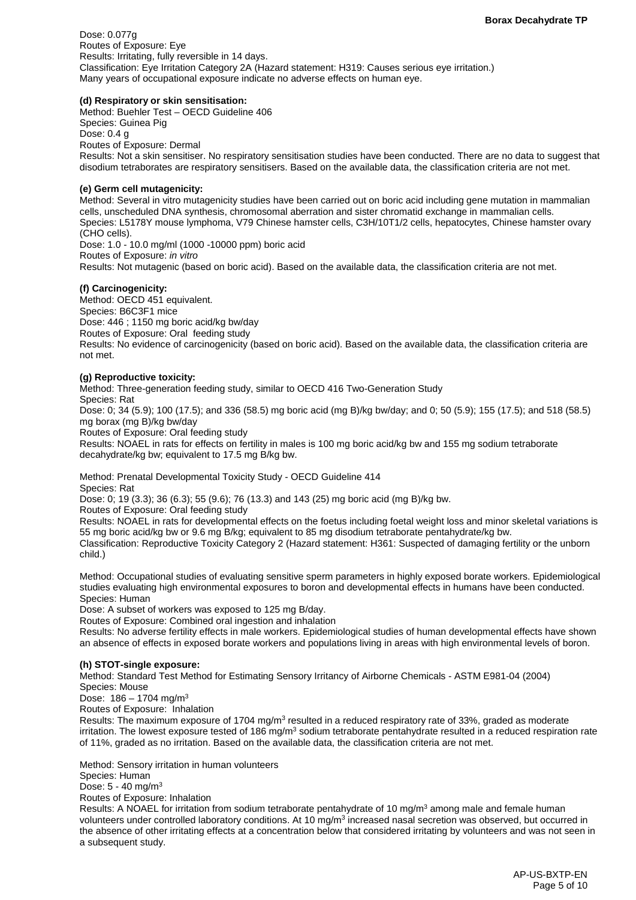Dose: 0.077g Routes of Exposure: Eye Results: Irritating, fully reversible in 14 days. Classification: Eye Irritation Category 2A (Hazard statement: H319: Causes serious eye irritation.) Many years of occupational exposure indicate no adverse effects on human eye.

#### **(d) Respiratory or skin sensitisation:**

Method: Buehler Test – OECD Guideline 406 Species: Guinea Pig Dose: 0.4 g Routes of Exposure: Dermal Results: Not a skin sensitiser. No respiratory sensitisation studies have been conducted. There are no data to suggest that disodium tetraborates are respiratory sensitisers. Based on the available data, the classification criteria are not met.

#### **(e) Germ cell mutagenicity:**

Method: Several in vitro mutagenicity studies have been carried out on boric acid including gene mutation in mammalian cells, unscheduled DNA synthesis, chromosomal aberration and sister chromatid exchange in mammalian cells. Species: L5178Y mouse lymphoma, V79 Chinese hamster cells, C3H/10T1/2 cells, hepatocytes, Chinese hamster ovary (CHO cells).

Dose: 1.0 - 10.0 mg/ml (1000 -10000 ppm) boric acid Routes of Exposure: *in vitro* Results: Not mutagenic (based on boric acid). Based on the available data, the classification criteria are not met.

#### **(f) Carcinogenicity:**

Method: OECD 451 equivalent. Species: B6C3F1 mice Dose: 446 ; 1150 mg boric acid/kg bw/day Routes of Exposure: Oral feeding study Results: No evidence of carcinogenicity (based on boric acid). Based on the available data, the classification criteria are not met.

#### **(g) Reproductive toxicity:**

Method: Three-generation feeding study, similar to OECD 416 Two-Generation Study

Species: Rat

Dose: 0; 34 (5.9); 100 (17.5); and 336 (58.5) mg boric acid (mg B)/kg bw/day; and 0; 50 (5.9); 155 (17.5); and 518 (58.5) mg borax (mg B)/kg bw/day

Routes of Exposure: Oral feeding study

Results: NOAEL in rats for effects on fertility in males is 100 mg boric acid/kg bw and 155 mg sodium tetraborate decahydrate/kg bw; equivalent to 17.5 mg B/kg bw.

Method: Prenatal Developmental Toxicity Study - OECD Guideline 414 Species: Rat

Dose: 0; 19 (3.3); 36 (6.3); 55 (9.6); 76 (13.3) and 143 (25) mg boric acid (mg B)/kg bw.

Routes of Exposure: Oral feeding study

Results: NOAEL in rats for developmental effects on the foetus including foetal weight loss and minor skeletal variations is 55 mg boric acid/kg bw or 9.6 mg B/kg; equivalent to 85 mg disodium tetraborate pentahydrate/kg bw. Classification: Reproductive Toxicity Category 2 (Hazard statement: H361: Suspected of damaging fertility or the unborn child.)

Method: Occupational studies of evaluating sensitive sperm parameters in highly exposed borate workers. Epidemiological studies evaluating high environmental exposures to boron and developmental effects in humans have been conducted. Species: Human

Dose: A subset of workers was exposed to 125 mg B/day.

Routes of Exposure: Combined oral ingestion and inhalation

Results: No adverse fertility effects in male workers. Epidemiological studies of human developmental effects have shown an absence of effects in exposed borate workers and populations living in areas with high environmental levels of boron.

#### **(h) STOT-single exposure:**

Method: Standard Test Method for Estimating Sensory Irritancy of Airborne Chemicals - ASTM E981-04 (2004) Species: Mouse

Dose:  $186 - 1704$  mg/m<sup>3</sup>

Routes of Exposure: Inhalation

Results: The maximum exposure of 1704 mg/m<sup>3</sup> resulted in a reduced respiratory rate of 33%, graded as moderate irritation. The lowest exposure tested of 186 mg/m<sup>3</sup> sodium tetraborate pentahydrate resulted in a reduced respiration rate of 11%, graded as no irritation. Based on the available data, the classification criteria are not met.

Method: Sensory irritation in human volunteers

Species: Human

Dose: 5 - 40 mg/m3

Routes of Exposure: Inhalation

Results: A NOAEL for irritation from sodium tetraborate pentahydrate of 10 mg/m<sup>3</sup> among male and female human volunteers under controlled laboratory conditions. At 10 mg/m<sup>3</sup> increased nasal secretion was observed, but occurred in the absence of other irritating effects at a concentration below that considered irritating by volunteers and was not seen in a subsequent study.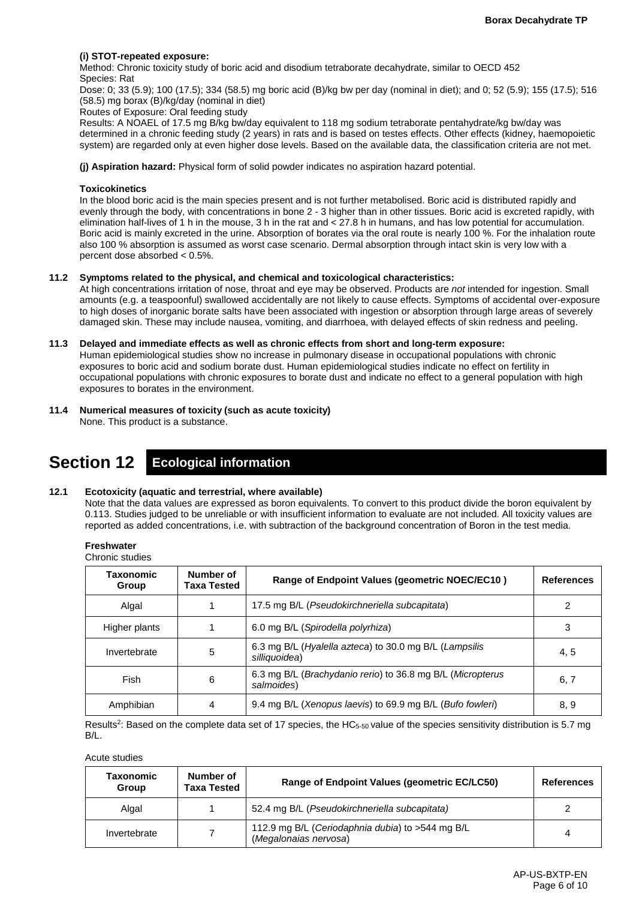#### **(i) STOT-repeated exposure:**

Method: Chronic toxicity study of boric acid and disodium tetraborate decahydrate, similar to OECD 452 Species: Rat

Dose: 0; 33 (5.9); 100 (17.5); 334 (58.5) mg boric acid (B)/kg bw per day (nominal in diet); and 0; 52 (5.9); 155 (17.5); 516 (58.5) mg borax (B)/kg/day (nominal in diet)

Routes of Exposure: Oral feeding study

Results: A NOAEL of 17.5 mg B/kg bw/day equivalent to 118 mg sodium tetraborate pentahydrate/kg bw/day was determined in a chronic feeding study (2 years) in rats and is based on testes effects. Other effects (kidney, haemopoietic system) are regarded only at even higher dose levels. Based on the available data, the classification criteria are not met.

**(j) Aspiration hazard:** Physical form of solid powder indicates no aspiration hazard potential.

#### **Toxicokinetics**

In the blood boric acid is the main species present and is not further metabolised. Boric acid is distributed rapidly and evenly through the body, with concentrations in bone 2 - 3 higher than in other tissues. Boric acid is excreted rapidly, with elimination half-lives of 1 h in the mouse, 3 h in the rat and < 27.8 h in humans, and has low potential for accumulation. Boric acid is mainly excreted in the urine. Absorption of borates via the oral route is nearly 100 %. For the inhalation route also 100 % absorption is assumed as worst case scenario. Dermal absorption through intact skin is very low with a percent dose absorbed < 0.5%.

#### **11.2 Symptoms related to the physical, and chemical and toxicological characteristics:**

At high concentrations irritation of nose, throat and eye may be observed. Products are *not* intended for ingestion. Small amounts (e.g. a teaspoonful) swallowed accidentally are not likely to cause effects. Symptoms of accidental over-exposure to high doses of inorganic borate salts have been associated with ingestion or absorption through large areas of severely damaged skin. These may include nausea, vomiting, and diarrhoea, with delayed effects of skin redness and peeling.

#### **11.3 Delayed and immediate effects as well as chronic effects from short and long-term exposure:**

Human epidemiological studies show no increase in pulmonary disease in occupational populations with chronic exposures to boric acid and sodium borate dust. Human epidemiological studies indicate no effect on fertility in occupational populations with chronic exposures to borate dust and indicate no effect to a general population with high exposures to borates in the environment.

#### **11.4 Numerical measures of toxicity (such as acute toxicity)**

None. This product is a substance.

## **Section 12 Ecological information**

#### **12.1 Ecotoxicity (aquatic and terrestrial, where available)**

Note that the data values are expressed as boron equivalents. To convert to this product divide the boron equivalent by 0.113. Studies judged to be unreliable or with insufficient information to evaluate are not included. All toxicity values are reported as added concentrations, i.e. with subtraction of the background concentration of Boron in the test media.

**Freshwater**

| Chronic studies |  |
|-----------------|--|
|                 |  |

| <b>Taxonomic</b><br>Group | Number of<br>Taxa Tested | Range of Endpoint Values (geometric NOEC/EC10)                           | <b>References</b> |
|---------------------------|--------------------------|--------------------------------------------------------------------------|-------------------|
| Algal                     |                          | 17.5 mg B/L (Pseudokirchneriella subcapitata)                            |                   |
| Higher plants             |                          | 6.0 mg B/L (Spirodella polyrhiza)                                        | 3                 |
| Invertebrate              | 5                        | 6.3 mg B/L (Hyalella azteca) to 30.0 mg B/L (Lampsilis<br>silliquoidea)  | 4, 5              |
| Fish                      | 6                        | 6.3 mg B/L (Brachydanio rerio) to 36.8 mg B/L (Micropterus<br>salmoides) | 6, 7              |
| Amphibian                 | 4                        | 9.4 mg B/L (Xenopus laevis) to 69.9 mg B/L (Bufo fowleri)                | 8, 9              |

Results<sup>2</sup>: Based on the complete data set of 17 species, the HC $_{5-50}$  value of the species sensitivity distribution is 5.7 mg B/L.

Acute studies

| Taxonomic<br>Group | Number of<br><b>Taxa Tested</b> | Range of Endpoint Values (geometric EC/LC50)                              | <b>References</b> |
|--------------------|---------------------------------|---------------------------------------------------------------------------|-------------------|
| Algal              |                                 | 52.4 mg B/L (Pseudokirchneriella subcapitata)                             |                   |
| Invertebrate       |                                 | 112.9 mg B/L (Ceriodaphnia dubia) to >544 mg B/L<br>(Megalonaias nervosa) | 4                 |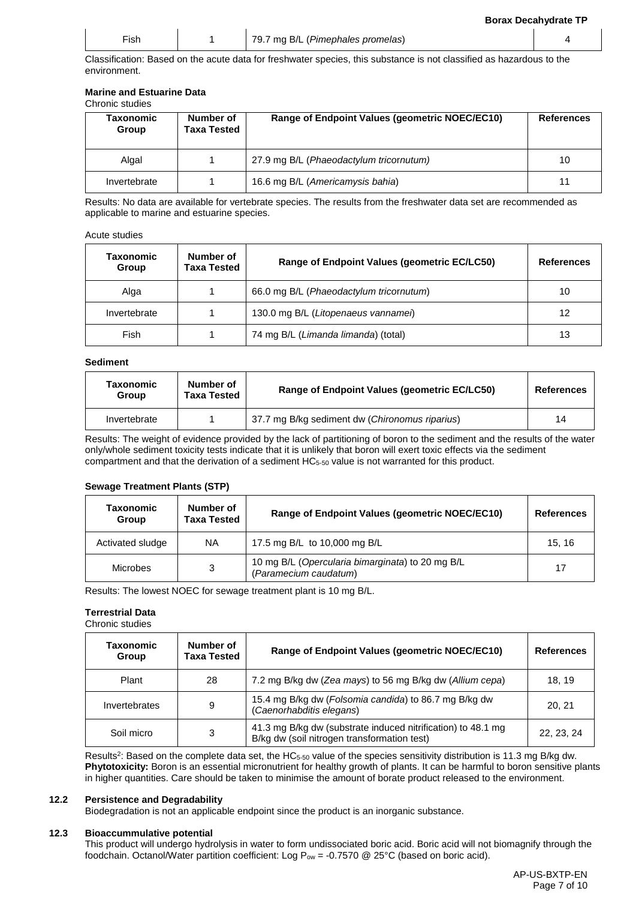| $- \cdot$ | 79.7 mg B/L (Pimephales promelas) |  |
|-----------|-----------------------------------|--|

Classification: Based on the acute data for freshwater species, this substance is not classified as hazardous to the environment.

#### **Marine and Estuarine Data**

Chronic studies

| Taxonomic<br>Group | Number of<br>Taxa Tested | Range of Endpoint Values (geometric NOEC/EC10) | <b>References</b> |
|--------------------|--------------------------|------------------------------------------------|-------------------|
| Algal              |                          | 27.9 mg B/L (Phaeodactylum tricornutum)        | 10                |
| Invertebrate       |                          | 16.6 mg B/L (Americamysis bahia)               | 11                |

Results: No data are available for vertebrate species. The results from the freshwater data set are recommended as applicable to marine and estuarine species.

#### Acute studies

| <b>Taxonomic</b><br>Group | Number of<br>Taxa Tested | Range of Endpoint Values (geometric EC/LC50) | <b>References</b> |
|---------------------------|--------------------------|----------------------------------------------|-------------------|
| Alga                      |                          | 66.0 mg B/L (Phaeodactylum tricornutum)      | 10                |
| Invertebrate              |                          | 130.0 mg B/L (Litopenaeus vannamei)          | 12                |
| Fish                      |                          | 74 mg B/L (Limanda limanda) (total)          | 13                |

#### **Sediment**

| <b>Taxonomic</b><br>Group | Number of<br><b>Taxa Tested</b> | Range of Endpoint Values (geometric EC/LC50)   | <b>References</b> |
|---------------------------|---------------------------------|------------------------------------------------|-------------------|
| Invertebrate              |                                 | 37.7 mg B/kg sediment dw (Chironomus riparius) | 14                |

Results: The weight of evidence provided by the lack of partitioning of boron to the sediment and the results of the water only/whole sediment toxicity tests indicate that it is unlikely that boron will exert toxic effects via the sediment compartment and that the derivation of a sediment HC5-50 value is not warranted for this product.

#### **Sewage Treatment Plants (STP)**

| Taxonomic<br>Group | Number of<br><b>Taxa Tested</b> | Range of Endpoint Values (geometric NOEC/EC10)                            | <b>References</b> |
|--------------------|---------------------------------|---------------------------------------------------------------------------|-------------------|
| Activated sludge   | <b>NA</b>                       | 17.5 mg B/L to 10,000 mg B/L                                              | 15.16             |
| Microbes           | 3                               | 10 mg B/L (Opercularia bimarginata) to 20 mg B/L<br>(Paramecium caudatum) | 17                |

Results: The lowest NOEC for sewage treatment plant is 10 mg B/L.

### **Terrestrial Data**

Chronic studies

| Taxonomic<br>Group | Number of<br><b>Taxa Tested</b> | Range of Endpoint Values (geometric NOEC/EC10)                                                              | <b>References</b> |
|--------------------|---------------------------------|-------------------------------------------------------------------------------------------------------------|-------------------|
| Plant              | 28                              | 7.2 mg B/kg dw (Zea mays) to 56 mg B/kg dw (Allium cepa)                                                    | 18.19             |
| Invertebrates      | 9                               | 15.4 mg B/kg dw (Folsomia candida) to 86.7 mg B/kg dw<br>(Caenorhabditis elegans)                           | 20.21             |
| Soil micro         | 3                               | 41.3 mg B/kg dw (substrate induced nitrification) to 48.1 mg<br>B/kg dw (soil nitrogen transformation test) | 22, 23, 24        |

Results<sup>2</sup>: Based on the complete data set, the HC $_{5-50}$  value of the species sensitivity distribution is 11.3 mg B/kg dw. **Phytotoxicity:** Boron is an essential micronutrient for healthy growth of plants. It can be harmful to boron sensitive plants in higher quantities. Care should be taken to minimise the amount of borate product released to the environment.

#### **12.2 Persistence and Degradability**

Biodegradation is not an applicable endpoint since the product is an inorganic substance.

#### **12.3 Bioaccummulative potential**

This product will undergo hydrolysis in water to form undissociated boric acid. Boric acid will not biomagnify through the foodchain. Octanol/Water partition coefficient: Log  $P_{ow} = -0.7570$  @ 25°C (based on boric acid).

**Borax Decahydrate TP**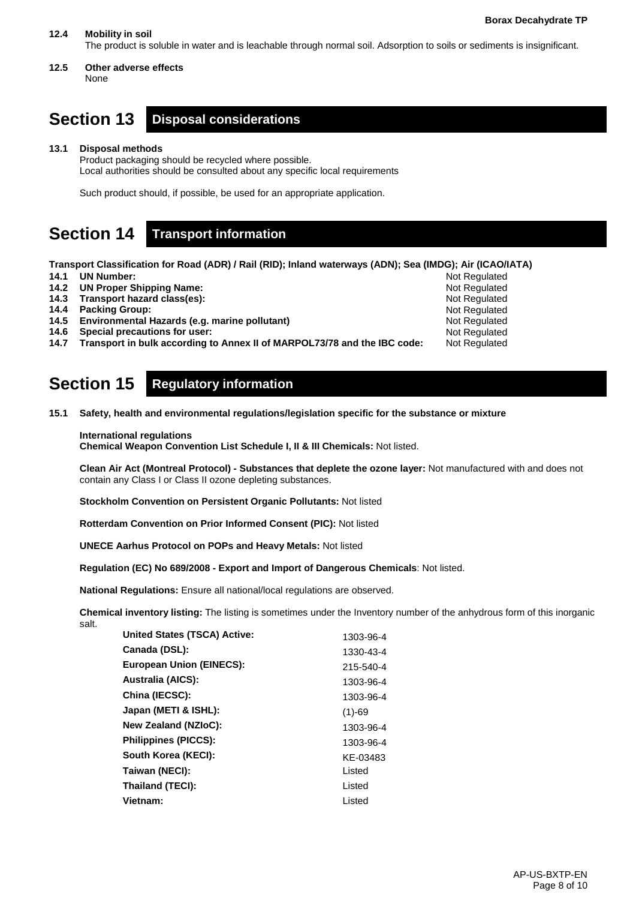### **12.4 Mobility in soil**

The product is soluble in water and is leachable through normal soil. Adsorption to soils or sediments is insignificant.

**12.5 Other adverse effects** None

# **Section 13 Disposal considerations**

**13.1 Disposal methods**

Product packaging should be recycled where possible. Local authorities should be consulted about any specific local requirements

Such product should, if possible, be used for an appropriate application.

# **Section 14 Transport information**

**Transport Classification for Road (ADR) / Rail (RID); Inland waterways (ADN); Sea (IMDG); Air (ICAO/IATA)**

**14.1 UN Number:** 

- **14.2 UN Proper Shipping Name:**
- **14.3 Transport hazard class(es):**
- **14.4 Packing Group:**
- **14.5 Environmental Hazards (e.g. marine pollutant)**
- **14.6 Special precautions for user:**

**14.7 Transport in bulk according to Annex II of MARPOL73/78 and the IBC code:**

# **Section 15 Regulatory information**

**15.1 Safety, health and environmental regulations/legislation specific for the substance or mixture**

### **International regulations**

**Chemical Weapon Convention List Schedule I, II & III Chemicals:** Not listed.

**Clean Air Act (Montreal Protocol) - Substances that deplete the ozone layer:** Not manufactured with and does not contain any Class I or Class II ozone depleting substances.

**Stockholm Convention on Persistent Organic Pollutants:** Not listed

**Rotterdam Convention on Prior Informed Consent (PIC):** Not listed

**UNECE Aarhus Protocol on POPs and Heavy Metals:** Not listed

**Regulation (EC) No 689/2008 - Export and Import of Dangerous Chemicals**: Not listed.

**National Regulations:** Ensure all national/local regulations are observed.

**Chemical inventory listing:** The listing is sometimes under the Inventory number of the anhydrous form of this inorganic salt.

| <b>United States (TSCA) Active:</b> | 1303-96-4 |
|-------------------------------------|-----------|
| Canada (DSL):                       | 1330-43-4 |
| <b>European Union (EINECS):</b>     | 215-540-4 |
| <b>Australia (AICS):</b>            | 1303-96-4 |
| China (IECSC):                      | 1303-96-4 |
| Japan (METI & ISHL):                | $(1)-69$  |
| <b>New Zealand (NZIoC):</b>         | 1303-96-4 |
| <b>Philippines (PICCS):</b>         | 1303-96-4 |
| South Korea (KECI):                 | KE-03483  |
| Taiwan (NECI):                      | Listed    |
| Thailand (TECI):                    | Listed    |
| Vietnam:                            | Listed    |
|                                     |           |

Not Regulated Not Regulated Not Regulated Not Regulated Not Regulated Not Regulated Not Regulated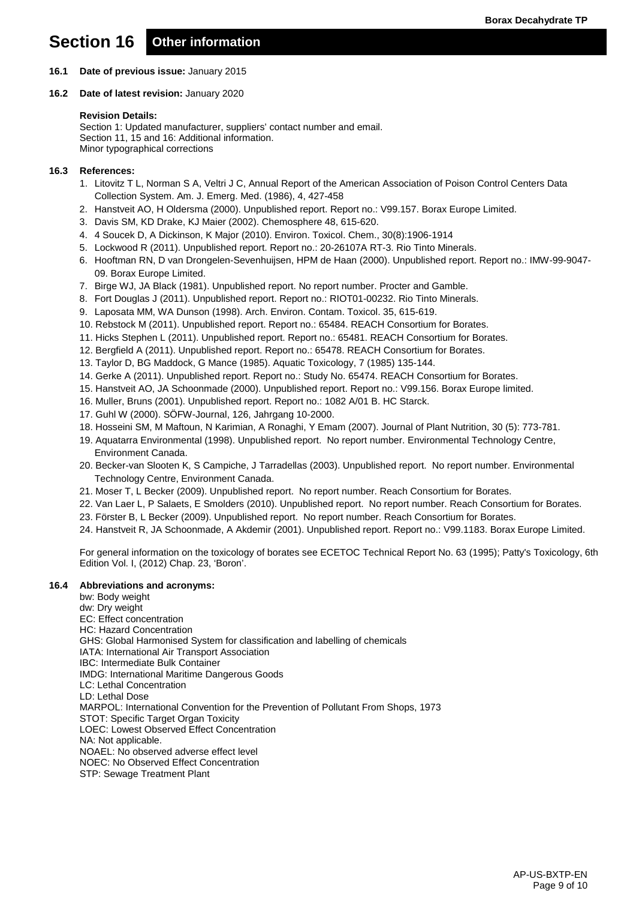# **Section 16 Other information**

- **16.1 Date of previous issue:** January 2015
- **16.2 Date of latest revision:** January 2020

#### **Revision Details:**

Section 1: Updated manufacturer, suppliers' contact number and email. Section 11, 15 and 16: Additional information. Minor typographical corrections

#### **16.3 References:**

- 1. Litovitz T L, Norman S A, Veltri J C, Annual Report of the American Association of Poison Control Centers Data Collection System. Am. J. Emerg. Med. (1986), 4, 427-458
- 2. Hanstveit AO, H Oldersma (2000). Unpublished report. Report no.: V99.157. Borax Europe Limited.
- 3. Davis SM, KD Drake, KJ Maier (2002). Chemosphere 48, 615-620.
- 4. 4 Soucek D, A Dickinson, K Major (2010). Environ. Toxicol. Chem., 30(8):1906-1914
- 5. Lockwood R (2011). Unpublished report. Report no.: 20-26107A RT-3. Rio Tinto Minerals.
- 6. Hooftman RN, D van Drongelen-Sevenhuijsen, HPM de Haan (2000). Unpublished report. Report no.: IMW-99-9047- 09. Borax Europe Limited.
- 7. Birge WJ, JA Black (1981). Unpublished report. No report number. Procter and Gamble.
- 8. Fort Douglas J (2011). Unpublished report. Report no.: RIOT01-00232. Rio Tinto Minerals.
- 9. Laposata MM, WA Dunson (1998). Arch. Environ. Contam. Toxicol. 35, 615-619.
- 10. Rebstock M (2011). Unpublished report. Report no.: 65484. REACH Consortium for Borates.
- 11. Hicks Stephen L (2011). Unpublished report. Report no.: 65481. REACH Consortium for Borates.
- 12. Bergfield A (2011). Unpublished report. Report no.: 65478. REACH Consortium for Borates.
- 13. Taylor D, BG Maddock, G Mance (1985). Aquatic Toxicology, 7 (1985) 135-144.
- 14. Gerke A (2011). Unpublished report. Report no.: Study No. 65474. REACH Consortium for Borates.
- 15. Hanstveit AO, JA Schoonmade (2000). Unpublished report. Report no.: V99.156. Borax Europe limited.
- 16. Muller, Bruns (2001). Unpublished report. Report no.: 1082 A/01 B. HC Starck.
- 17. Guhl W (2000). SÖFW-Journal, 126, Jahrgang 10-2000.
- 18. Hosseini SM, M Maftoun, N Karimian, A Ronaghi, Y Emam (2007). Journal of Plant Nutrition, 30 (5): 773-781.
- 19. Aquatarra Environmental (1998). Unpublished report. No report number. Environmental Technology Centre, Environment Canada.
- 20. Becker-van Slooten K, S Campiche, J Tarradellas (2003). Unpublished report. No report number. Environmental Technology Centre, Environment Canada.
- 21. Moser T, L Becker (2009). Unpublished report. No report number. Reach Consortium for Borates.
- 22. Van Laer L, P Salaets, E Smolders (2010). Unpublished report. No report number. Reach Consortium for Borates.
- 23. Förster B, L Becker (2009). Unpublished report. No report number. Reach Consortium for Borates.
- 24. Hanstveit R, JA Schoonmade, A Akdemir (2001). Unpublished report. Report no.: V99.1183. Borax Europe Limited.

For general information on the toxicology of borates see ECETOC Technical Report No. 63 (1995); Patty's Toxicology, 6th Edition Vol. I, (2012) Chap. 23, 'Boron'.

### **16.4 Abbreviations and acronyms:**

bw: Body weight dw: Dry weight EC: Effect concentration HC: Hazard Concentration GHS: Global Harmonised System for classification and labelling of chemicals IATA: International Air Transport Association IBC: Intermediate Bulk Container IMDG: International Maritime Dangerous Goods LC: Lethal Concentration LD: Lethal Dose MARPOL: International Convention for the Prevention of Pollutant From Shops, 1973 STOT: Specific Target Organ Toxicity LOEC: Lowest Observed Effect Concentration NA: Not applicable. NOAEL: No observed adverse effect level NOEC: No Observed Effect Concentration STP: Sewage Treatment Plant